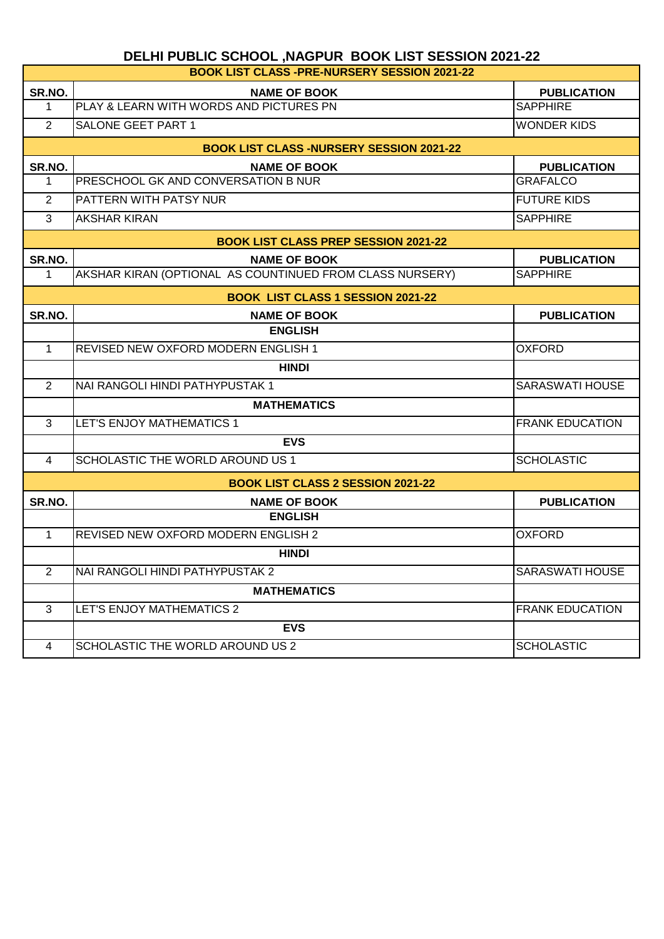٦

| <b>BOOK LIST CLASS -PRE-NURSERY SESSION 2021-22</b> |                                                          |                        |  |  |
|-----------------------------------------------------|----------------------------------------------------------|------------------------|--|--|
| SR.NO.                                              | <b>NAME OF BOOK</b>                                      | <b>PUBLICATION</b>     |  |  |
| $\mathbf 1$                                         | PLAY & LEARN WITH WORDS AND PICTURES PN                  | <b>SAPPHIRE</b>        |  |  |
| $\overline{2}$                                      | <b>SALONE GEET PART 1</b>                                | <b>WONDER KIDS</b>     |  |  |
|                                                     | <b>BOOK LIST CLASS -NURSERY SESSION 2021-22</b>          |                        |  |  |
| SR.NO.                                              | <b>NAME OF BOOK</b>                                      | <b>PUBLICATION</b>     |  |  |
| $\mathbf 1$                                         | PRESCHOOL GK AND CONVERSATION B NUR                      | <b>GRAFALCO</b>        |  |  |
| 2                                                   | PATTERN WITH PATSY NUR                                   | <b>FUTURE KIDS</b>     |  |  |
| 3                                                   | <b>AKSHAR KIRAN</b>                                      | <b>SAPPHIRE</b>        |  |  |
|                                                     | <b>BOOK LIST CLASS PREP SESSION 2021-22</b>              |                        |  |  |
| SR.NO.                                              | <b>NAME OF BOOK</b>                                      | <b>PUBLICATION</b>     |  |  |
| $\mathbf 1$                                         | AKSHAR KIRAN (OPTIONAL AS COUNTINUED FROM CLASS NURSERY) | <b>SAPPHIRE</b>        |  |  |
| <b>BOOK LIST CLASS 1 SESSION 2021-22</b>            |                                                          |                        |  |  |
| SR.NO.                                              | <b>NAME OF BOOK</b>                                      | <b>PUBLICATION</b>     |  |  |
|                                                     | <b>ENGLISH</b>                                           |                        |  |  |
| $\mathbf{1}$                                        | <b>REVISED NEW OXFORD MODERN ENGLISH 1</b>               | <b>OXFORD</b>          |  |  |
|                                                     | <b>HINDI</b>                                             |                        |  |  |
| $\overline{2}$                                      | NAI RANGOLI HINDI PATHYPUSTAK 1                          | <b>SARASWATI HOUSE</b> |  |  |
|                                                     | <b>MATHEMATICS</b>                                       |                        |  |  |
| 3                                                   | LET'S ENJOY MATHEMATICS 1                                | <b>FRANK EDUCATION</b> |  |  |
|                                                     | <b>EVS</b>                                               |                        |  |  |
| 4                                                   | SCHOLASTIC THE WORLD AROUND US 1                         | <b>SCHOLASTIC</b>      |  |  |
|                                                     | <b>BOOK LIST CLASS 2 SESSION 2021-22</b>                 |                        |  |  |
| SR.NO.                                              | <b>NAME OF BOOK</b>                                      | <b>PUBLICATION</b>     |  |  |
|                                                     | <b>ENGLISH</b>                                           |                        |  |  |
| $\mathbf{1}$                                        | <b>REVISED NEW OXFORD MODERN ENGLISH 2</b>               | <b>OXFORD</b>          |  |  |
|                                                     | <b>HINDI</b>                                             |                        |  |  |
| 2                                                   | NAI RANGOLI HINDI PATHYPUSTAK 2                          | SARASWATI HOUSE        |  |  |
|                                                     | <b>MATHEMATICS</b>                                       |                        |  |  |
| 3                                                   | LET'S ENJOY MATHEMATICS 2                                | <b>FRANK EDUCATION</b> |  |  |
|                                                     | <b>EVS</b>                                               |                        |  |  |
| 4                                                   | SCHOLASTIC THE WORLD AROUND US 2                         | <b>SCHOLASTIC</b>      |  |  |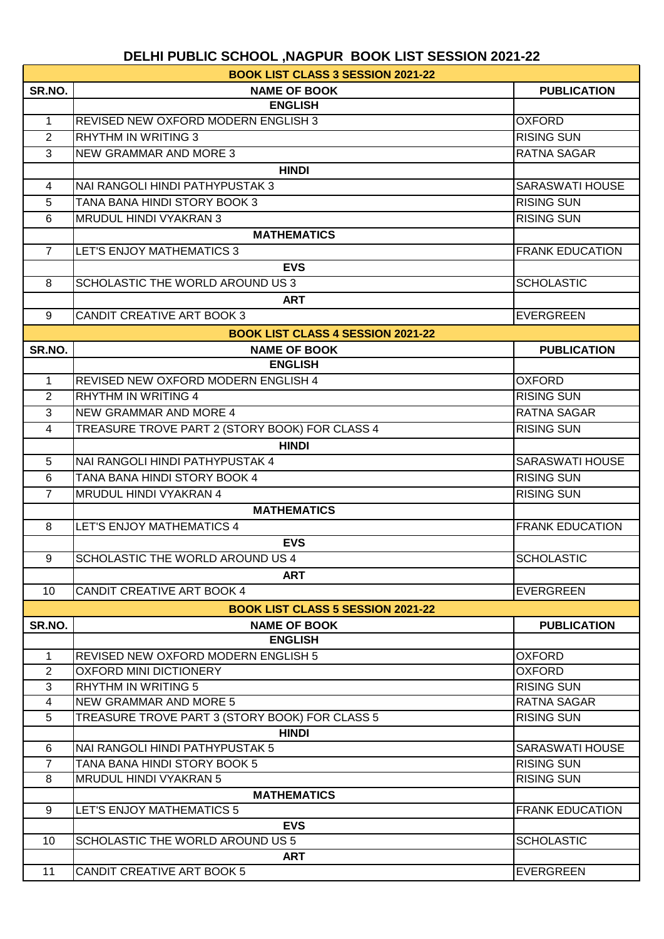|                | <b>BOOK LIST CLASS 3 SESSION 2021-22</b>       |                        |
|----------------|------------------------------------------------|------------------------|
| SR.NO.         | <b>NAME OF BOOK</b>                            | <b>PUBLICATION</b>     |
|                | <b>ENGLISH</b>                                 |                        |
| $\mathbf 1$    | <b>REVISED NEW OXFORD MODERN ENGLISH 3</b>     | <b>OXFORD</b>          |
| 2              | <b>RHYTHM IN WRITING 3</b>                     | <b>RISING SUN</b>      |
| 3              | <b>NEW GRAMMAR AND MORE 3</b>                  | <b>RATNA SAGAR</b>     |
|                | <b>HINDI</b>                                   |                        |
| 4              | NAI RANGOLI HINDI PATHYPUSTAK 3                | <b>SARASWATI HOUSE</b> |
| 5              | TANA BANA HINDI STORY BOOK 3                   | <b>RISING SUN</b>      |
| 6              | MRUDUL HINDI VYAKRAN 3                         | <b>RISING SUN</b>      |
|                | <b>MATHEMATICS</b>                             |                        |
| $\overline{7}$ | LET'S ENJOY MATHEMATICS 3                      | <b>FRANK EDUCATION</b> |
|                | <b>EVS</b>                                     |                        |
| 8              | SCHOLASTIC THE WORLD AROUND US 3               | <b>SCHOLASTIC</b>      |
|                | <b>ART</b>                                     |                        |
| 9              | <b>CANDIT CREATIVE ART BOOK 3</b>              | <b>EVERGREEN</b>       |
|                |                                                |                        |
|                | <b>BOOK LIST CLASS 4 SESSION 2021-22</b>       |                        |
| SR.NO.         | <b>NAME OF BOOK</b><br><b>ENGLISH</b>          | <b>PUBLICATION</b>     |
| $\mathbf{1}$   | <b>REVISED NEW OXFORD MODERN ENGLISH 4</b>     | <b>OXFORD</b>          |
|                | <b>RHYTHM IN WRITING 4</b>                     |                        |
| $\overline{2}$ |                                                | <b>RISING SUN</b>      |
| 3              | <b>NEW GRAMMAR AND MORE 4</b>                  | <b>RATNA SAGAR</b>     |
| 4              | TREASURE TROVE PART 2 (STORY BOOK) FOR CLASS 4 | <b>RISING SUN</b>      |
|                | <b>HINDI</b>                                   |                        |
| 5              | NAI RANGOLI HINDI PATHYPUSTAK 4                | <b>SARASWATI HOUSE</b> |
| 6              | TANA BANA HINDI STORY BOOK 4                   | <b>RISING SUN</b>      |
| $\overline{7}$ | MRUDUL HINDI VYAKRAN 4                         | <b>RISING SUN</b>      |
|                | <b>MATHEMATICS</b>                             |                        |
| 8              | LET'S ENJOY MATHEMATICS 4                      | <b>FRANK EDUCATION</b> |
|                | <b>EVS</b>                                     |                        |
| 9              | SCHOLASTIC THE WORLD AROUND US 4               | <b>SCHOLASTIC</b>      |
|                | <b>ART</b>                                     |                        |
| 10             | <b>CANDIT CREATIVE ART BOOK 4</b>              | <b>EVERGREEN</b>       |
|                | <b>BOOK LIST CLASS 5 SESSION 2021-22</b>       |                        |
| SR.NO.         | <b>NAME OF BOOK</b>                            | <b>PUBLICATION</b>     |
|                | <b>ENGLISH</b>                                 |                        |
| $\mathbf{1}$   | <b>REVISED NEW OXFORD MODERN ENGLISH 5</b>     | <b>OXFORD</b>          |
| $\overline{2}$ | <b>OXFORD MINI DICTIONERY</b>                  | <b>OXFORD</b>          |
| 3              | <b>RHYTHM IN WRITING 5</b>                     | <b>RISING SUN</b>      |
| 4              | <b>NEW GRAMMAR AND MORE 5</b>                  | <b>RATNA SAGAR</b>     |
| 5              | TREASURE TROVE PART 3 (STORY BOOK) FOR CLASS 5 | <b>RISING SUN</b>      |
|                | <b>HINDI</b>                                   |                        |
| 6              | NAI RANGOLI HINDI PATHYPUSTAK 5                | <b>SARASWATI HOUSE</b> |
| $\overline{7}$ | TANA BANA HINDI STORY BOOK 5                   | <b>RISING SUN</b>      |
| 8              | MRUDUL HINDI VYAKRAN 5                         | <b>RISING SUN</b>      |
|                | <b>MATHEMATICS</b>                             |                        |
| 9              | LET'S ENJOY MATHEMATICS 5                      | <b>FRANK EDUCATION</b> |
|                | <b>EVS</b>                                     |                        |
| 10             | <b>SCHOLASTIC THE WORLD AROUND US 5</b>        | <b>SCHOLASTIC</b>      |
|                | <b>ART</b>                                     |                        |
| 11             | CANDIT CREATIVE ART BOOK 5                     | <b>EVERGREEN</b>       |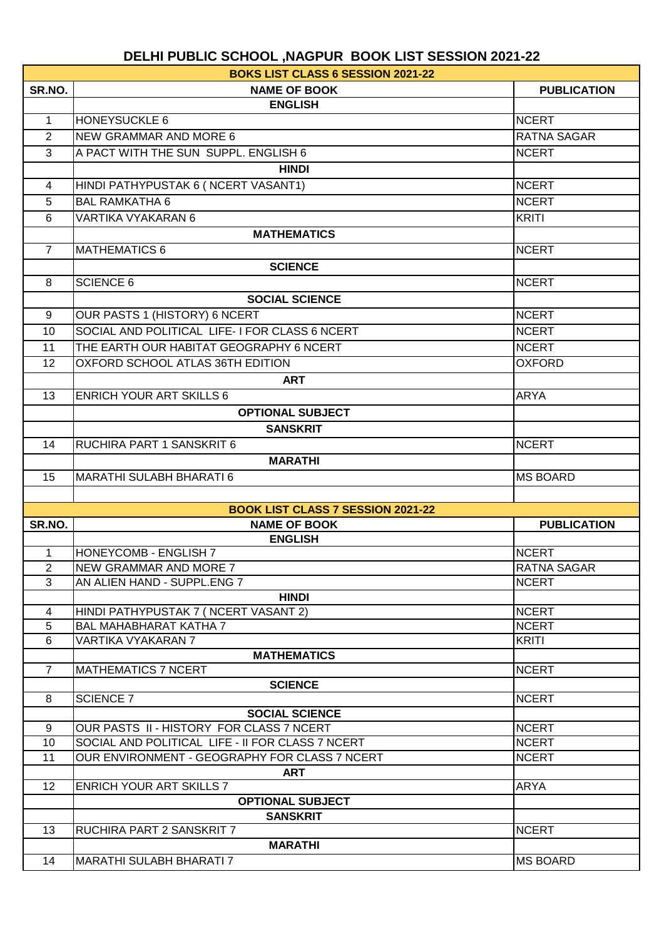|                 | <b>BOKS LIST CLASS 6 SESSION 2021-22</b>          |                    |
|-----------------|---------------------------------------------------|--------------------|
| SR.NO.          | <b>NAME OF BOOK</b>                               | <b>PUBLICATION</b> |
|                 | <b>ENGLISH</b>                                    |                    |
| 1               | <b>HONEYSUCKLE 6</b>                              | <b>NCERT</b>       |
| $\overline{2}$  | <b>NEW GRAMMAR AND MORE 6</b>                     | <b>RATNA SAGAR</b> |
| 3               | A PACT WITH THE SUN SUPPL, ENGLISH 6              | <b>NCERT</b>       |
|                 | <b>HINDI</b>                                      |                    |
| 4               | HINDI PATHYPUSTAK 6 ( NCERT VASANT1)              | <b>NCERT</b>       |
| 5               | <b>BAL RAMKATHA 6</b>                             | <b>NCERT</b>       |
| 6               | VARTIKA VYAKARAN 6                                | <b>KRITI</b>       |
|                 | <b>MATHEMATICS</b>                                |                    |
| $\overline{7}$  | <b>MATHEMATICS 6</b>                              | <b>NCERT</b>       |
|                 |                                                   |                    |
|                 | <b>SCIENCE</b>                                    |                    |
| 8               | <b>SCIENCE 6</b>                                  | <b>NCERT</b>       |
|                 | <b>SOCIAL SCIENCE</b>                             |                    |
| 9               | OUR PASTS 1 (HISTORY) 6 NCERT                     | <b>NCERT</b>       |
| 10              | SOCIAL AND POLITICAL LIFE-I FOR CLASS 6 NCERT     | <b>NCERT</b>       |
| 11              | THE EARTH OUR HABITAT GEOGRAPHY 6 NCERT           | <b>NCERT</b>       |
| 12              | OXFORD SCHOOL ATLAS 36TH EDITION                  | <b>OXFORD</b>      |
|                 | ART                                               |                    |
| 13              | <b>ENRICH YOUR ART SKILLS 6</b>                   | <b>ARYA</b>        |
|                 | <b>OPTIONAL SUBJECT</b>                           |                    |
|                 | <b>SANSKRIT</b>                                   |                    |
| 14              | RUCHIRA PART 1 SANSKRIT 6                         | <b>NCERT</b>       |
|                 | <b>MARATHI</b>                                    |                    |
| 15              | <b>MARATHI SULABH BHARATI 6</b>                   | <b>MS BOARD</b>    |
|                 |                                                   |                    |
|                 | <b>BOOK LIST CLASS 7 SESSION 2021-22</b>          |                    |
| SR.NO.          | <b>NAME OF BOOK</b>                               | <b>PUBLICATION</b> |
|                 | <b>ENGLISH</b>                                    |                    |
| 1               | <b>HONEYCOMB - ENGLISH 7</b>                      | <b>NCERT</b>       |
| $\overline{2}$  | NEW GRAMMAR AND MORE 7                            | RATNA SAGAR        |
| 3               | AN ALIEN HAND - SUPPL.ENG 7                       | <b>NCERT</b>       |
|                 | <b>HINDI</b>                                      |                    |
| 4               | HINDI PATHYPUSTAK 7 (NCERT VASANT 2)              | <b>NCERT</b>       |
| $5\phantom{.0}$ | <b>BAL MAHABHARAT KATHA 7</b>                     | <b>NCERT</b>       |
| 6               | VARTIKA VYAKARAN 7                                | <b>KRITI</b>       |
|                 | <b>MATHEMATICS</b>                                |                    |
| $\overline{7}$  | <b>MATHEMATICS 7 NCERT</b>                        | <b>NCERT</b>       |
|                 | <b>SCIENCE</b>                                    |                    |
| 8               | <b>SCIENCE 7</b>                                  | <b>NCERT</b>       |
|                 | <b>SOCIAL SCIENCE</b>                             |                    |
| 9               | OUR PASTS II - HISTORY FOR CLASS 7 NCERT          | <b>NCERT</b>       |
| 10              | SOCIAL AND POLITICAL LIFE - II FOR CLASS 7 NCERT  | <b>NCERT</b>       |
| 11              | OUR ENVIRONMENT - GEOGRAPHY FOR CLASS 7 NCERT     | <b>NCERT</b>       |
|                 | <b>ART</b>                                        |                    |
| 12 <sup>2</sup> | <b>ENRICH YOUR ART SKILLS 7</b>                   | ARYA               |
|                 | <b>OPTIONAL SUBJECT</b><br><b>SANSKRIT</b>        |                    |
|                 |                                                   |                    |
|                 |                                                   |                    |
| 13              | RUCHIRA PART 2 SANSKRIT 7                         | <b>NCERT</b>       |
| 14              | <b>MARATHI</b><br><b>MARATHI SULABH BHARATI 7</b> | <b>MS BOARD</b>    |